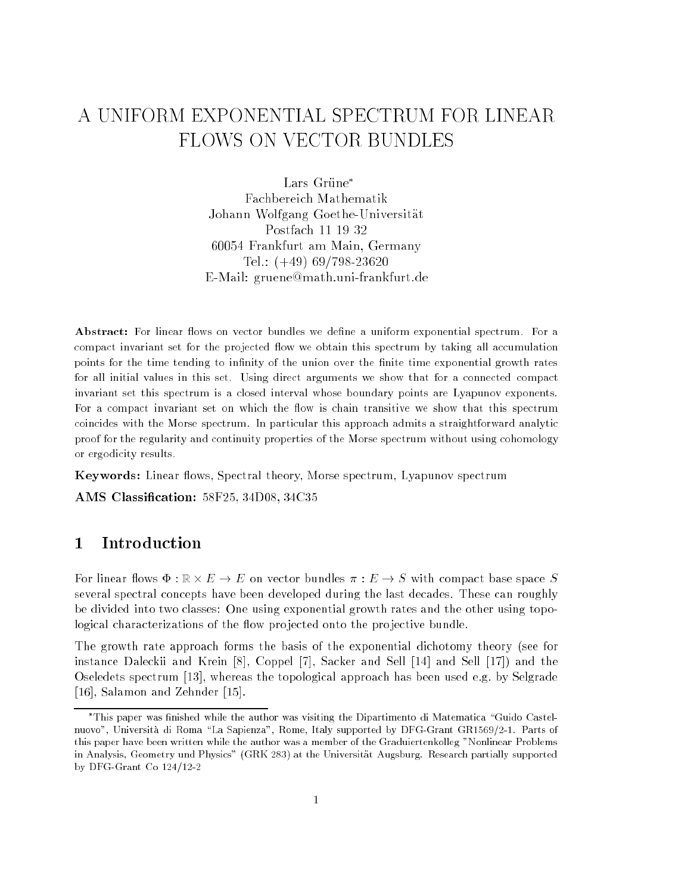# A UNIFORM EXPONENTIAL SPECTRUM FOR LINEAR FLOWS ON VECTOR BUNDLES

 $\sim$ Lars Grüne\* Johann Wolfgang Goethe-Universitat Postfach <sup>11</sup> <sup>19</sup> <sup>32</sup> 6000 Frankfurt am Main, Germany, Germany, Germany, Germany, Germany, Germany, Germany, Germany, Germany, Germany, Tel.: (+49) 69/798-23620 E-Mail: gruene@math.uni-frankfurt.de

Abstract: For linear flows on vector bundles we define a uniform exponential spectrum. For a compact in compact and the spectrum and in the provincial spectrum in the spectrum of accumulation of the compa points for the time tending to innity of the union over the nite time exponential growth rates for all initial values in this set. Using direct arguments we show that for <sup>a</sup> connected compact invariant set this spectrum is <sup>a</sup> closed interval whose boundary points are Lyapunov exponents. For <sup>a</sup> compact invariant set on which the ow is chain transitive we show that this spectrum coincides with the Morse spectrum. In particular this approach admits a straightforward analytic proof for the regularity and continuity properties of the Morse spectrum without using cohomologyor ergodicity results.

Keywords: Linear flows, Spectral theory, Morse spectrum, Lyapunov spectrum

AMS Classification: 58F25, 34D08, 34C35

#### $\mathbf{1}$ **Introduction**

For linear flows  $\Phi: \mathbb{R} \times E \to E$  on vector bundles  $\pi: E \to S$  with compact base space  $S$ several spectral concepts have been developed during the last decades. These can roughly be divided into two classes: One using exponential growth rates and the other using topological characterizations of the flow projected onto the projective bundle.

The growth rate approach forms the basis of the exponential dichotomy theory (see for instance Daleckii and Krein [8], Coppel [7], Sacker and Sell [14] and Sell [17]) and the Oseledets spectrum [13], whereas the topological approach has been used e.g. by Selgrade [16], Salamon and Zehnder [15].

<sup>.</sup> This paper was finished while the author was visiting the Dipartimento di Matematica "Guido Castelnuovo", Università di Roma "La Sapienza", Rome, Italy supported by DFG-Grant GR1569/2-1. Parts of this paper have been written while the author was a member of the Graduiertenkolleg "Nonlinear Problems in Analysis, Geometry und Physics" (GRK 283) at the Universitat Augsburg. Research partially supported by DFG-Grant Co 124/12-2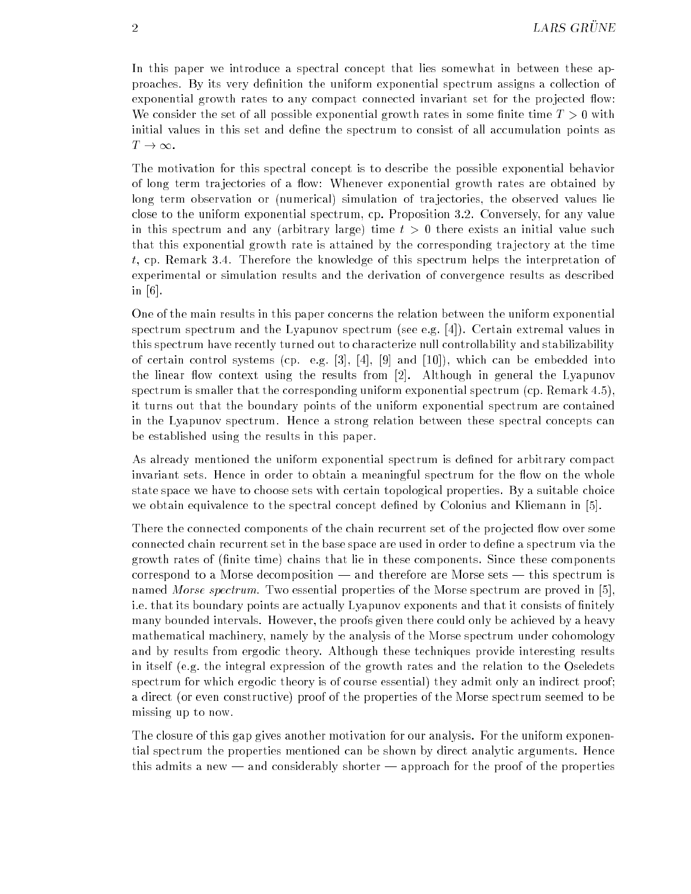In this paper we introduce a spectral concept that lies somewhat in between these approaches. By its very definition the uniform exponential spectrum assigns a collection of exponential growth rates to any compact connected invariant set for the projected flow: We consider the set of all possible exponential growth rates in some finite time  $T > 0$  with initial values in this set and dene the spectrum to consist of all accumulation points as  $T \to \infty$ .

The motivation for this spectral concept is to describe the possible exponential behavior of long term trajectories of a flow: Whenever exponential growth rates are obtained by long term observation or (numerical) simulation of tra jectories, the observed values lie close to the uniform exponential spectrum, cp. Proposition 3.2. Conversely, for any value in this spectrum and any (arbitrary large) time  $t > 0$  there exists an initial value such that this exponential growth rate is attained by the corresponding tra jectory at the time t, cp. Remark 3.4. Therefore the knowledge of this spectrum helps the interpretation of experimental or simulation results and the derivation of convergence results as described in [6].

One of the main results in this paper concerns the relation between the uniform exponential spectrum spectrum and the Lyapunov spectrum (see e.g. [4]). Certain extremal values in this spectrum have recently turned out to characterize null controllability and stabilizability of certain control systems (cp. e.g. [3], [4], [9] and [10]), which can be embedded into the linear flow context using the results from  $[2]$ . Although in general the Lyapunov spectrum is smaller that the corresponding uniform exponential spectrum (cp. Remark 4.5), it turns out that the boundary points of the uniform exponential spectrum are contained in the Lyapunov spectrum. Hence a strong relation between these spectral concepts can be established using the results in this paper.

As already mentioned the uniform exponential spectrum is dened for arbitrary compact invariant sets. Hence in order to obtain a meaningful spectrum for the flow on the whole state space we have to choose sets with certain topological properties. By a suitable choice we obtain equivalence to the spectral concept defined by Colonius and Kliemann in [5].

There the connected components of the chain recurrent set of the projected flow over some connected chain recurrent set in the base space are used in order to define a spectrum via the growth rates of (finite time) chains that lie in these components. Since these components correspond to a Morse decomposition  $\frac{d}{dx}$  and therefore are Morse sets  $\frac{d}{dx}$  this spectrum is named *Morse spectrum*. Two essential properties of the Morse spectrum are proved in [5], i.e. that its boundary points are actually Lyapunov exponents and that it consists of finitely many bounded intervals. However, the proofs given there could only be achieved by a heavy mathematical machinery, namely by the analysis of the Morse spectrum under cohomology and by results from ergodic theory. Although these techniques provide interesting results in itself (e.g. the integral expression of the growth rates and the relation to the Oseledets spectrum for which ergodic theory is of course essential) they admit only an indirect proof; a direct (or even constructive) proof of the properties of the Morse spectrum seemed to be missing up to now.

The closure of this gap gives another motivation for our analysis. For the uniform exponential spectrum the properties mentioned can be shown by direct analytic arguments. Hence this admits a new  $-$  and considerably shorter  $-$  approach for the proof of the properties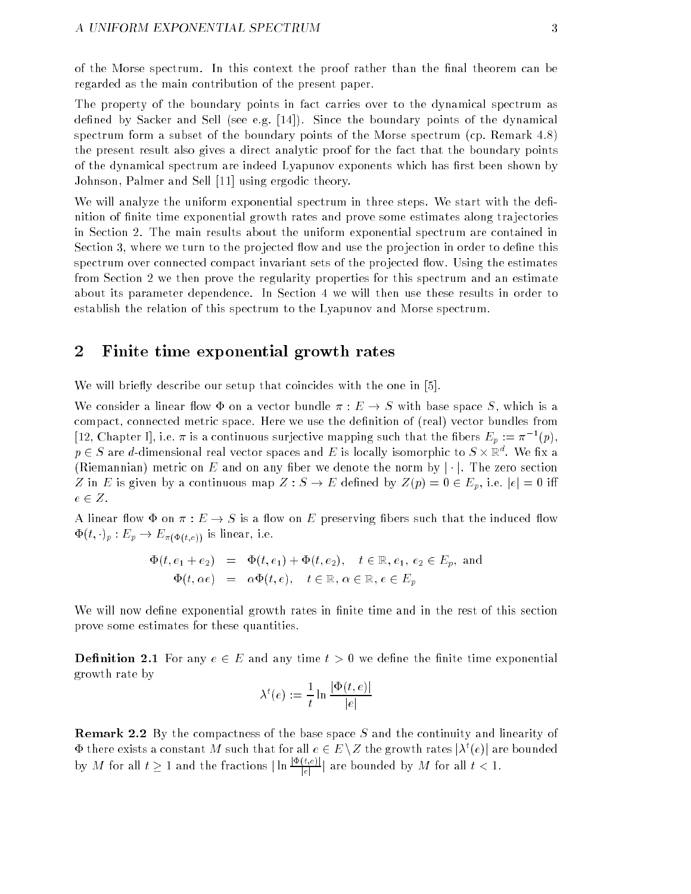of the Morse spectrum. In this context the proof rather than the final theorem can be regarded as the main contribution of the present paper.

The property of the boundary points in fact carries over to the dynamical spectrum as defined by Sacker and Sell (see e.g.  $[14]$ ). Since the boundary points of the dynamical spectrum form a subset of the boundary points of the Morse spectrum (cp. Remark 4.8) the present result also gives a direct analytic proof for the fact that the boundary points of the dynamical spectrum are indeed Lyapunov exponents which has first been shown by Johnson, Palmer and Sell [11] using ergodic theory.

We will analyze the uniform exponential spectrum in three steps. We start with the definition of finite time exponential growth rates and prove some estimates along trajectories in Section 2. The main results about the uniform exponential spectrum are contained in Section 3, where we turn to the projected flow and use the projection in order to define this spectrum over connected compact invariant sets of the projected flow. Using the estimates from Section 2 we then prove the regularity properties for this spectrum and an estimate about its parameter dependence. In Section 4 we will then use these results in order to establish the relation of this spectrum to the Lyapunov and Morse spectrum.

# 2 Finite time exponential growth rates

We will briefly describe our setup that coincides with the one in [5].

We consider a linear flow  $\Phi$  on a vector bundle  $\pi : E \to S$  with base space S, which is a compact, connected metric space. Here we use the definition of (real) vector bundles from [12, Chapter I], i.e.  $\pi$  is a continuous surjective mapping such that the fibers  $E_p := \pi^{-1}(p)$ ,  $p\in S$  are d-dimensional real vector spaces and  $E$  is locally isomorphic to  $S\times \mathbb R^d.$  We fix a (Riemannian) metric on E and on any fiber we denote the norm by  $|\cdot|$ . The zero section Z in E is given by a continuous map  $Z : S \to E$  defined by  $Z(p) = 0 \in E_p$ , i.e.  $|e| = 0$  iff  $e \in Z$ .

A linear flow  $\Phi$  on  $\pi : E \to S$  is a flow on E preserving fibers such that the induced flow  $\Phi(t, \cdot)_p : E_p \to E_{\pi(\Phi(t,e))}$  is linear, i.e.

$$
\begin{array}{rcl}\n\Phi(t, e_1 + e_2) & = & \Phi(t, e_1) + \Phi(t, e_2), \quad t \in \mathbb{R}, e_1, e_2 \in E_p, \text{ and} \\
\Phi(t, \alpha e) & = & \alpha \Phi(t, e), \quad t \in \mathbb{R}, \alpha \in \mathbb{R}, e \in E_p\n\end{array}
$$

We will now define exponential growth rates in finite time and in the rest of this section prove some estimates for these quantities.

**Definition 2.1** For any  $e \in E$  and any time  $t > 0$  we define the finite time exponential growth rate by

$$
\lambda^{t}(e) := \frac{1}{t} \ln \frac{|\Phi(t, e)|}{|e|}
$$

Remark 2.2 By the compactness of the base space S and the continuity and linearity of  $\Phi$  there exists a constant  $M$  such that for all  $e\in E\setminus Z$  the growth rates  $|\lambda^t(e)|$  are bounded by M for all  $t \geq 1$  and the fractions  $|\ln \frac{|\Psi(t,\varepsilon)|}{|\varepsilon|}|$  are bounded by M for all  $t < 1.$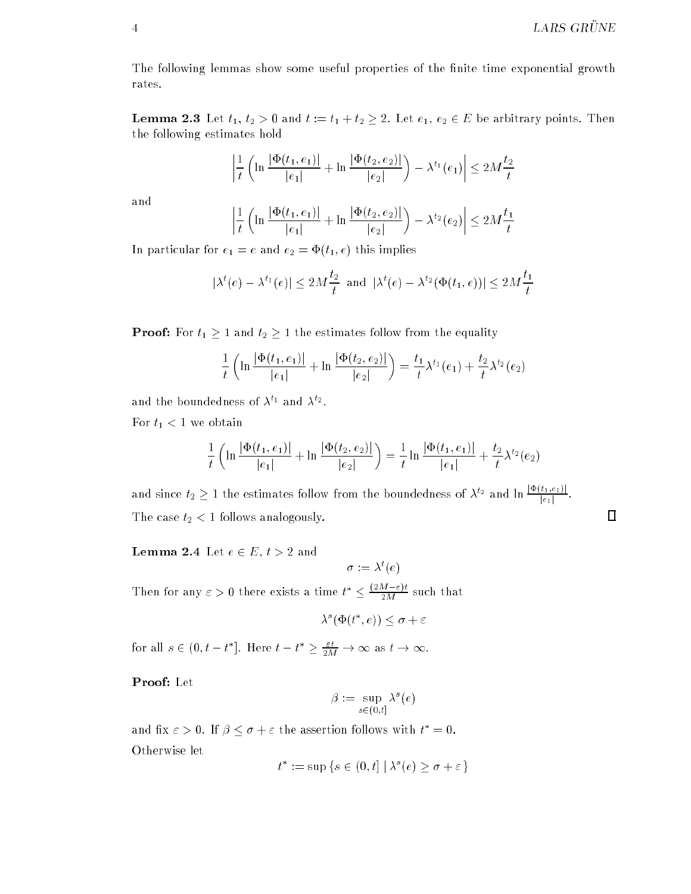The following lemmas show some useful properties of the finite time exponential growth rates.

**Lemma 2.3** Let  $t_1, t_2 > 0$  and  $t := t_1 + t_2 \geq 2$ . Let  $e_1, e_2 \in E$  be arbitrary points. Then the following estimates hold

$$
\left|\frac{1}{t}\left(\ln\frac{|\Phi(t_1,e_1)|}{|e_1|}+\ln\frac{|\Phi(t_2,e_2)|}{|e_2|}\right)-\lambda^{t_1}(e_1)\right|\leq 2M\frac{t_2}{t}
$$

and

$$
\left| \frac{1}{t} \left( \ln \frac{|\Phi(t_1, e_1)|}{|e_1|} + \ln \frac{|\Phi(t_2, e_2)|}{|e_2|} \right) - \lambda^{t_2}(e_2) \right| \le 2M \frac{t_1}{t}
$$

In particular for  $e_1 = e$  and  $e_2 = \Phi(t_1, e)$  this implies

$$
|\lambda^{t}(e) - \lambda^{t_1}(e)| \le 2M\frac{t_2}{t} \text{ and } |\lambda^{t}(e) - \lambda^{t_2}(\Phi(t_1, e))| \le 2M\frac{t_1}{t}
$$

**Proof:** For  $t_1 \geq 1$  and  $t_2 \geq 1$  the estimates follow from the equality

$$
\frac{1}{t}\left(\ln\frac{|\Phi(t_1, e_1)|}{|e_1|} + \ln\frac{|\Phi(t_2, e_2)|}{|e_2|}\right) = \frac{t_1}{t}\lambda^{t_1}(e_1) + \frac{t_2}{t}\lambda^{t_2}(e_2)
$$

and the boundedness of  $\lambda^{t_1}$  and  $\lambda^{t_2}$ .

For  $t_1<1$  we obtain

$$
\frac{1}{t}\left(\ln\frac{|\Phi(t_1,e_1)|}{|e_1|} + \ln\frac{|\Phi(t_2,e_2)|}{|e_2|}\right) = \frac{1}{t}\ln\frac{|\Phi(t_1,e_1)|}{|e_1|} + \frac{t_2}{t}\lambda^{t_2}(e_2)
$$

and since  $t_2 \geq 1$  the estimates follow from the boundedness of  $\lambda^{t_2}$  and  $\ln \frac{|\Psi(t_1,t_1)|}{|e_1|}$ . The case  $t_2 < 1$  follows analogously.

### **Lemma 2.4** Let  $e \in E$ ,  $t > 2$  and

 $\sigma := \lambda^t(e)$ 

Then for any  $\varepsilon > 0$  there exists a time  $t^* \leq \frac{\sqrt{2M- \varepsilon} t}{2M}$  such that

$$
\lambda^s(\Phi(t^*,e)) \le \sigma + \varepsilon
$$

for all  $s \in (0, t - t^*]$ . Here  $t - t^* \geq \frac{\varepsilon t}{2M} \to \infty$  as  $t \to \infty$ .

Proof: Let

$$
\beta := \sup_{s \in (0,t]} \lambda^s(e)
$$

and fix  $\varepsilon > 0$ . If  $\beta \leq \sigma + \varepsilon$  the assertion follows with  $t^* = 0$ . Otherwise let

$$
t^* := \sup \{ s \in (0, t] \mid \lambda^s(e) \ge \sigma + \varepsilon \}
$$

 $\Box$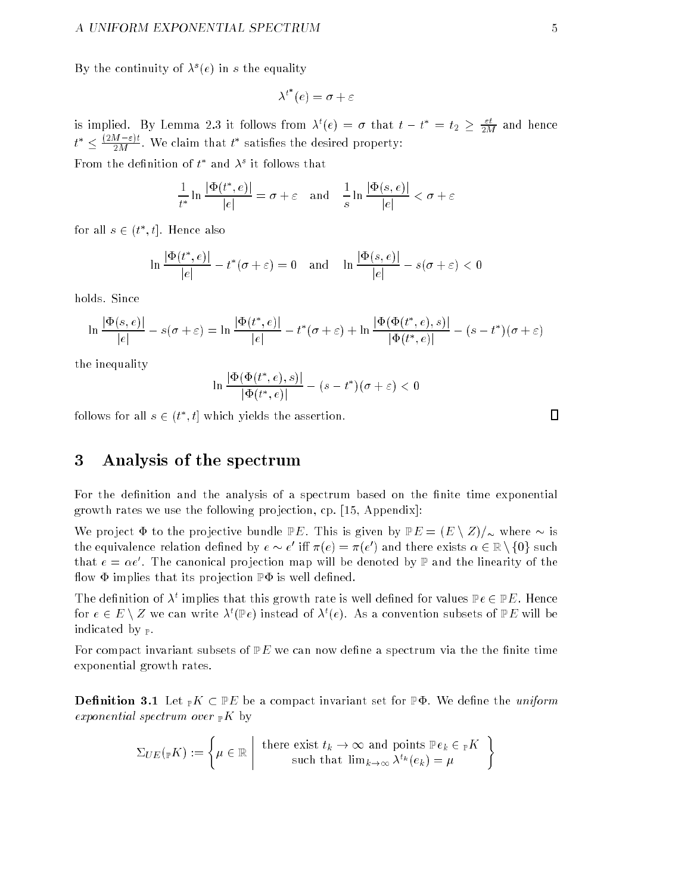By the continuity of  $\lambda^{s}(e)$  in s the equality

$$
\lambda^{t^*}(e)=\sigma+\varepsilon
$$

is implied. By Lemma 2.3 it follows from  $\lambda^t(e) = \sigma$  that  $t - t^* = t_2 \geq \frac{\varepsilon t}{2M}$  and hence  $t^* \leq \frac{\sqrt{2M^2+1}}{2M}$ . We claim that  $t^*$  satisfies the desired property:

From the definition of  $t^*$  and  $\lambda^s$  it follows that

$$
\frac{1}{t^*} \ln \frac{|\Phi(t^*, e)|}{|e|} = \sigma + \varepsilon \quad \text{and} \quad \frac{1}{s} \ln \frac{|\Phi(s, e)|}{|e|} < \sigma + \varepsilon
$$

for all  $s \in (t^*, t]$ . Hence also

$$
\ln \frac{|\Phi(t^*, e)|}{|e|} - t^*(\sigma + \varepsilon) = 0 \quad \text{and} \quad \ln \frac{|\Phi(s, e)|}{|e|} - s(\sigma + \varepsilon) < 0
$$

holds. Since

$$
\ln \frac{|\Phi(s,e)|}{|e|} - s(\sigma + \varepsilon) = \ln \frac{|\Phi(t^*,e)|}{|e|} - t^*(\sigma + \varepsilon) + \ln \frac{|\Phi(\Phi(t^*,e),s)|}{|\Phi(t^*,e)|} - (s - t^*)(\sigma + \varepsilon)
$$

the inequality

$$
\ln \frac{|\Phi(\Phi(t^*, e), s)|}{|\Phi(t^*, e)|} - (s - t^*)(\sigma + \varepsilon) < 0
$$

follows for all  $s \in (t^*, t]$  which yields the assertion.

# 3 Analysis of the spectrum

For the definition and the analysis of a spectrum based on the finite time exponential growth rates we use the following projection, cp. [15, Appendix]:

We project  $\Phi$  to the projective bundle PE. This is given by  $PE = (E \setminus Z)/_{\infty}$  where  $\sim$  is the equivalence relation defined by  $e \sim e^+$  iff  $\pi(e) = \pi(e^+)$  and there exists  $\alpha \in \mathbb{R} \setminus \{0\}$  such that  $e = \alpha e$  . The canonical projection map will be denoted by  $\mathbb {P}$  and the linearity of the flow  $\Phi$  implies that its projection  $\mathbb{P}\Phi$  is well defined.

The definition of  $\lambda^t$  implies that this growth rate is well defined for values  $\mathbb{P}e\in\mathbb{P}E.$  Hence for  $e \in E \setminus Z$  we can write  $\lambda^t(\mathbb{P}e)$  instead of  $\lambda^t(e)$ . As a convention subsets of  $\mathbb{P}E$  will be indicated by  $\mathbb{P}$ .

For compact invariant subsets of  $P E$  we can now define a spectrum via the the finite time exponential growth rates.

**Definition 3.1** Let  $\mathbb{P}K \subset \mathbb{P}E$  be a compact invariant set for  $\mathbb{P}\Phi$ . We define the uniform exponential spectrum over  $\mathbb{R}$  by

$$
\Sigma_{UE}(\mathbf{F}K) := \left\{ \mu \in \mathbb{R} \middle| \text{ there exist } t_k \to \infty \text{ and points } \mathbb{P}e_k \in \mathbf{F}K \right\}
$$
  
such that  $\lim_{k \to \infty} \lambda^{t_k}(e_k) = \mu$ 

$$
\Box
$$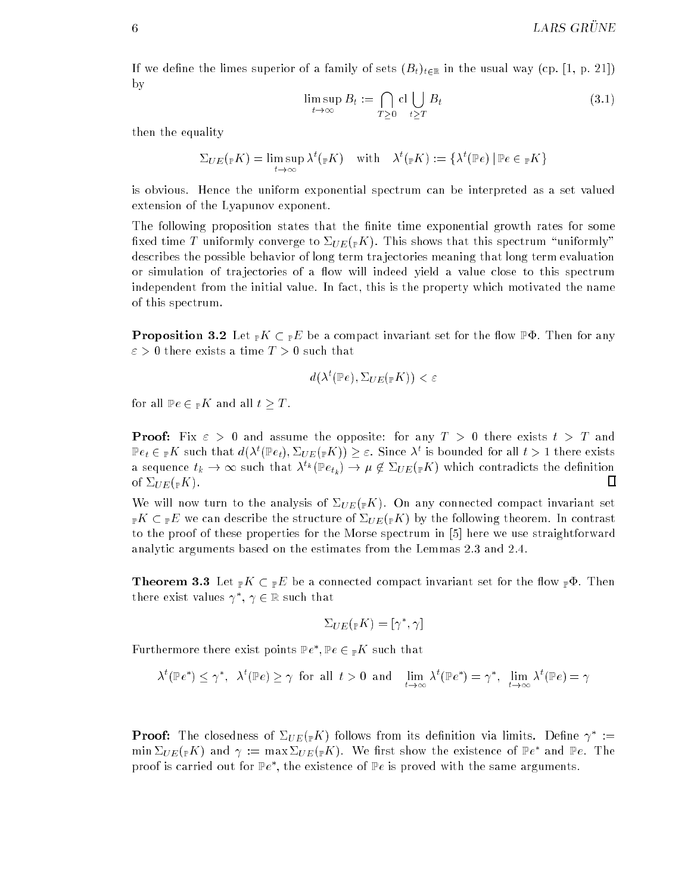If we define the limes superior of a family of sets  $(B_t)_{t\in\mathbb{R}}$  in the usual way (cp. [1, p. 21]) by

$$
\limsup_{t \to \infty} B_t := \bigcap_{T \ge 0} \text{cl} \bigcup_{t \ge T} B_t \tag{3.1}
$$

then the equality

$$
\Sigma_{UE}(\mathbf{F}K) = \limsup_{t \to \infty} \lambda^t(\mathbf{F}K) \quad \text{with} \quad \lambda^t(\mathbf{F}K) := {\lambda^t(\mathbf{F}e) | \mathbf{F}e \in \mathbf{F}K }
$$

is obvious. Hence the uniform exponential spectrum can be interpreted as a set valued extension of the Lyapunov exponent.

The following proposition states that the finite time exponential growth rates for some fixed time T uniformly converge to  $\Sigma_{UE}(\mathbb{R}^K)$ . This shows that this spectrum "uniformly" describes the possible behavior of long term tra jectories meaning that long term evaluation or simulation of trajectories of a flow will indeed yield a value close to this spectrum independent from the initial value. In fact, this is the property which motivated the name of this spectrum.

**Proposition 3.2** Let  $_{\mathbb{P}} K \subset_{\mathbb{P}} E$  be a compact invariant set for the flow  $\mathbb{P}\Phi$ . Then for any  $\varepsilon > 0$  there exists a time  $T > 0$  such that

$$
d(\lambda^t(\mathbb{P}e), \Sigma_{UE}(\mathbb{P}K)) < \varepsilon
$$

for all  $\mathbb{P}e \in \mathbb{P}K$  and all  $t > T$ .

**Proof:** Fix  $\varepsilon > 0$  and assume the opposite: for any  $T > 0$  there exists  $t > T$  and  $\mathbb{P}e_t\in {}_{\mathbb{P}}K$  such that  $d(\lambda^t(\mathbb{P}e_t),\Sigma_{UE}({}_{\mathbb{P}}K))\geq \varepsilon.$  Since  $\lambda^t$  is bounded for all  $t>1$  there exists a sequence  $t_k \to \infty$  such that  $\lambda^{t_k}(\mathbb{P} e_{t_k}) \to \mu \notin \Sigma_{UE}(\mathbb{P} K)$  which contradicts the definition  $\Box$ of  $\Sigma_{UE}({}_{\mathbb{P}}K)$ .

We will now turn to the analysis of  $\Sigma_{UE}(\mathbb{R}^K)$ . On any connected compact invariant set  ${}_{\mathbb{P}}K\subset {}_{\mathbb{P}}E$  we can describe the structure of  $\Sigma_{UE}({}_{\mathbb{P}}K)$  by the following theorem. In contrast to the proof of these properties for the Morse spectrum in [5] here we use straightforward analytic arguments based on the estimates from the Lemmas 2.3 and 2.4.

**Theorem 3.3** Let  $_{\mathbb{P}} K \subset {}_{\mathbb{P}} E$  be a connected compact invariant set for the flow  $_{\mathbb{P}} \Phi$ . Then there exist values  $\gamma^-, \, \gamma \in \mathbb{R}$  such that

$$
\Sigma_{UE}({}_{\mathbb{P}}K)=[\gamma^*,\gamma]
$$

Furthermore there exist points  $\mathbb{P}e^*, \mathbb{P}e \in {}_{\mathbb{P}}K$  such that

$$
\lambda^t(\mathbb{P}e^*) \le \gamma^*, \quad \lambda^t(\mathbb{P}e) \ge \gamma \quad \text{for all} \quad t > 0 \quad \text{and} \quad \lim_{t \to \infty} \lambda^t(\mathbb{P}e^*) = \gamma^*, \quad \lim_{t \to \infty} \lambda^t(\mathbb{P}e) = \gamma
$$

**Proof:** The closedness of  $\Sigma_{UE}({}_{{\mathbb F}} K)$  follows from its definition via limits. Define  $\gamma^*$  := min  $\Sigma_{UE}({}_\mathbb{P} K)$  and  $\gamma:=\max\Sigma_{UE}({}_\mathbb{P} K).$  We first show the existence of  $\mathbb{P} e^*$  and  $\mathbb{P} e.$  The proof is carried out for  $_{\rm l' e}$  , the existence of  $_{\rm l' e}$  is proved with the same arguments.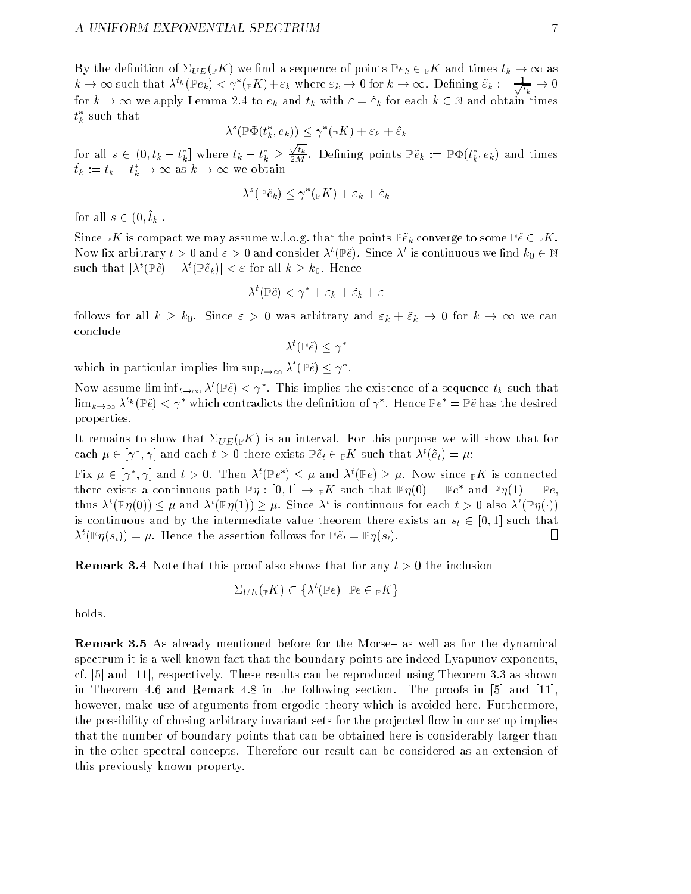By the definition of  $\Sigma_{UE}({}_F K)$  we find a sequence of points  $\mathbb{P}e_k \in {}_F K$  and times  $t_k \to \infty$  as  $k\to\infty$  such that  $\lambda^{t_k}(\mathbb{P} e_k)<\gamma^*(_{\mathbb{P} } K)+\varepsilon_k$  where  $\varepsilon_k\to 0$  for  $k\to\infty.$  Defining  $\tilde\varepsilon_k:=\frac{1}{\sqrt{t_k}}\to 0$ for  $k \to \infty$  we apply Lemma 2.4 to  $e_k$  and  $t_k$  with  $\varepsilon = \tilde{\varepsilon}_k$  for each  $k \in \mathbb{N}$  and obtain times  $t_{k}^{\ast}$  such that

$$
\lambda^s(\mathbb{P}\Phi(t_k^*,e_k)) \leq \gamma^*(\mathbb{P}K) + \varepsilon_k + \tilde{\varepsilon}_k
$$

for all  $s\, \in\, (0, t_k - t_k^{\ast}]$  where  $t_k - t_k^{\ast} \, \geq \,$  $\frac{\sqrt{t_k}}{2M}.$  Defining points  $\mathbb{P} \tilde{e}_k := \mathbb{P} \Phi(t_k^*,e_k)$  and times  $t_k := t_k - t_k^* \to \infty$  as  $k \to \infty$  we obtain

$$
\lambda^s(\mathbb{P}\tilde{e}_k) \le \gamma^*(\mathbb{P}K) + \varepsilon_k + \tilde{\varepsilon}_k
$$

for all  $s \in (0, \tilde{t}_k]$ .

Since  $\mathbb{P}K$  is compact we may assume w.l.o.g. that the points  $\mathbb{P}\tilde{e}_k$  converge to some  $\mathbb{P}\tilde{e}\in \mathbb{P}K$ . Now fix arbitrary  $t>0$  and  $\varepsilon>0$  and consider  $\lambda^t(\mathbb{P} \tilde e).$  Since  $\lambda^t$  is continuous we find  $k_0\in\mathbb{N}$ such that  $|\lambda^t(\mathbb{P} \tilde{e}) - \lambda^t(\mathbb{P} \tilde{e}_k)| < \varepsilon$  for all  $k > k_0$ . Hence

$$
\lambda^t(\mathbb P\~e) < \gamma^*+\varepsilon_k+\~{\varepsilon}_k+\varepsilon
$$

follows for all  $k \geq k_0$ . Since  $\varepsilon > 0$  was arbitrary and  $\varepsilon_k + \tilde{\varepsilon}_k \to 0$  for  $k \to \infty$  we can conclude

 $\lambda^{\tau}(\mathbb{P} \tilde{e}) \, \leq \, \gamma^*$ 

which in particular implies lim  $\sup_{t\to\infty}\lambda^t(\mathbb{P}\tilde{e})\leq \gamma^*$ .

Now assume lim inf $_{t\to\infty}$   $\lambda^t(\mathbb{P} \tilde{e})<\gamma^*$ . This implies the existence of a sequence  $t_k$  such that  $\lim_{k\to\infty}\lambda^{t_k}(\mathbb{P}\tilde{e})<\gamma^*$  which contradicts the definition of  $\gamma^*$ . Hence  $\mathbb{P}e^*=\mathbb{P}\tilde{e}$  has the desired properties.

It remains to show that  $\Sigma_{UE}(\mathbb{R}^K)$  is an interval. For this purpose we will show that for each  $\mu \in [\gamma^*,\gamma]$  and each  $t>0$  there exists  $\mathbb{P}\tilde{e}_t \in {}_{\mathbb{P}}K$  such that  $\lambda^t(\tilde{e}_t)=\mu$ :

Fix  $\mu \in [\gamma^*,\gamma]$  and  $t>0$ . Then  $\lambda^t(\mathbb{P}e^*) \leq \mu$  and  $\lambda^t(\mathbb{P}e) \geq \mu$ . Now since  $_{\mathbb{P}}K$  is connected there exists a continuous path  $\mathbb{P}\eta:[0,1]\to{}_{\mathbb{P}} K$  such that  $\mathbb{P}\eta(0)=\mathbb{P} e^*$  and  $\mathbb{P}\eta(1)=\mathbb{P} e,$ thus  $\lambda^t(\mathbb{P}\eta(0))\leq\mu$  and  $\lambda^t(\mathbb{P}\eta(1))\geq\mu$ . Since  $\lambda^t$  is continuous for each  $t>0$  also  $\lambda^t(\mathbb{P}\eta(\cdot))$ is continuous and by the intermediate value theorem there exists an  $s_t \in [0, 1]$  such that  $\lambda^t(\mathbb{P} \eta(s_t)) = \mu.$  Hence the assertion follows for  $\mathbb{P} \tilde{e}_t = \mathbb{P} \eta(s_t)$ . Ц

**Remark 3.4** Note that this proof also shows that for any  $t > 0$  the inclusion

$$
\Sigma_{UE}(\mathbb{P}K) \subset \{\lambda^t(\mathbb{P}e) \,|\, \mathbb{P}e \in \mathbb{P}K\}
$$

holds.

**Remark 3.5** As already mentioned before for the Morse- as well as for the dynamical spectrum it is a well known fact that the boundary points are indeed Lyapunov exponents, cf. [5] and [11], respectively. These results can be reproduced using Theorem 3.3 as shown in Theorem 4.6 and Remark 4.8 in the following section. The proofs in [5] and [11], however, make use of arguments from ergodic theory which is avoided here. Furthermore, the possibility of chosing arbitrary invariant sets for the projected flow in our setup implies that the number of boundary points that can be obtained here is considerably larger than in the other spectral concepts. Therefore our result can be considered as an extension of this previously known property.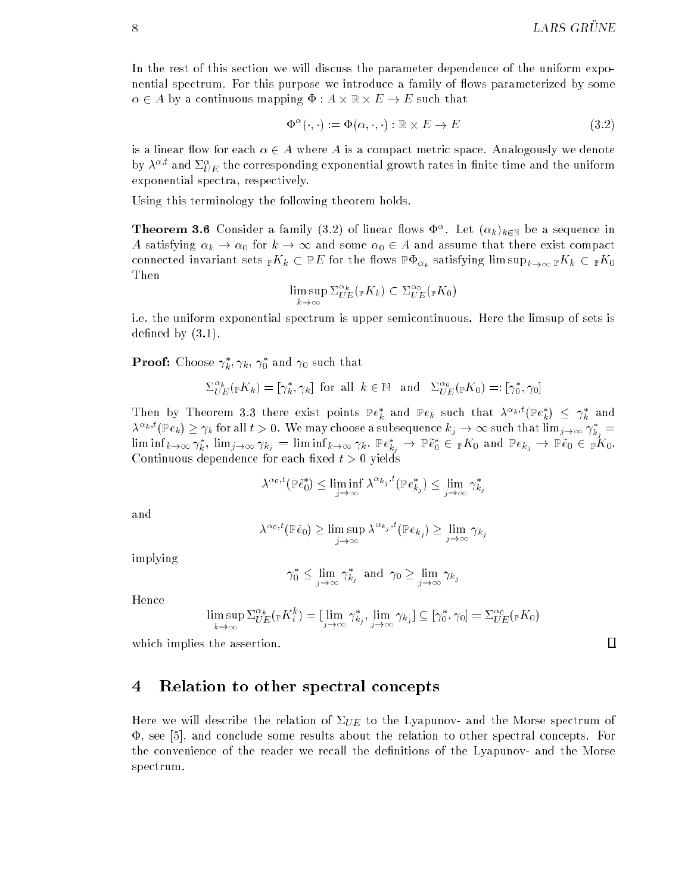In the rest of this section we will discuss the parameter dependence of the uniform exponential spectrum. For this purpose we introduce a family of flows parameterized by some  $\alpha \in A$  by a continuous mapping  $\Phi: A \times \mathbb{R} \times E \rightarrow E$  such that

$$
\Phi^{\alpha}(\cdot, \cdot) := \Phi(\alpha, \cdot, \cdot) : \mathbb{R} \times E \to E \tag{3.2}
$$

is a linear flow for each  $\alpha \in A$  where A is a compact metric space. Analogously we denote by  $\lambda^{\alpha,t}$  and  $\Sigma^{\alpha}_{UE}$  the corresponding exponential growth rates in finite time and the uniform exponential spectra, respectively.

Using this terminology the following theorem holds.

**Theorem 3.6** Consider a family (3.2) of linear flows  $\Psi^{\circ}$ . Let  $(\alpha_k)_{k\in\mathbb{N}}$  be a sequence in A satisfying  $\alpha_k \to \alpha_0$  for  $k \to \infty$  and some  $\alpha_0 \in A$  and assume that there exist compact connected invariant sets  $_{\mathbb{P}}K_k \subset \mathbb{P}E$  for the flows  $\mathbb{P}\Phi_{\alpha_k}$  satisfying lim  $\sup_{k\to\infty} {}_{\mathbb{P}}K_k \subset {}_{\mathbb{P}}K_0$ Then

$$
\limsup_{k \to \infty} \Sigma_{UE}^{\alpha_k}(\mathbf{F}K_k) \subset \Sigma_{UE}^{\alpha_0}(\mathbf{F}K_0)
$$

i.e. the uniform exponential spectrum is upper semicontinuous. Here the limsup of sets is defined by  $(3.1)$ .

**Prooi:** Choose  $\gamma_k, \gamma_k, \, \gamma_0$  and  $\gamma_0$  such that

$$
\Sigma^{\alpha_k}_{UE}({}_\mathbb{F} K_k) = [\gamma^*_k, \gamma_k] \text{ for all } k \in \mathbb{N} \text{ and } \Sigma^{\alpha_0}_{UE}({}_\mathbb{F} K_0) =: [\gamma^*_0, \gamma_0]
$$

Then by Theorem 3.3 there exist points  $\mathbb{P}e_k^*$  and  $\mathbb{P}e_k$  such that  $\lambda^{\alpha_k,t}(\mathbb{P}e_k^*) \leq \gamma_k^*$  and  $\lambda^{\alpha_k,t}({\mathbb P} e_k)\ge \gamma_k$  for all  $t>0.$  We may choose a subsequence  $k_j\to \infty$  such that  $\lim_{j\to \infty} \gamma_{k_j}^* =1$  $\liminf_{k\to\infty} \gamma_k^*, \lim_{j\to\infty} \gamma_{k_j} = \liminf_{k\to\infty} \gamma_k, \operatorname{\mathbb{P}} e_{k_j}^* \to \operatorname{\mathbb{P}} \tilde e_0^* \in {}_{\mathbb{P}}K_0 \text{ and } \operatorname{\mathbb{P}} e_{k_j} \to \operatorname{\mathbb{P}} \tilde e_0 \in {}_{\mathbb{P}}K_0.$ Continuous dependence for each fixed  $t > 0$  yields

$$
\lambda^{\alpha_0,t}(\mathbb{P}\tilde{e}_0^*) \le \liminf_{j \to \infty} \lambda^{\alpha_{k_j},t}(\mathbb{P}e_{k_j}^*) \le \lim_{j \to \infty} \gamma_{k_j}^*
$$

and

$$
\lambda^{\alpha_0,t}(\mathbb{P}\tilde{e}_0) \ge \limsup_{j \to \infty} \lambda^{\alpha_{k_j},t}(\mathbb{P}e_{k_j}) \ge \lim_{j \to \infty} \gamma_{k_j}
$$

implying

$$
\gamma_0^* \le \lim_{j \to \infty} \gamma_{k_j}^*
$$
 and  $\gamma_0 \ge \lim_{j \to \infty} \gamma_{k_j}$ 

Hence

$$
\limsup_{k \to \infty} \Sigma_{UE}^{\alpha_k}(\mathbf{F}K_i^k) = [\lim_{j \to \infty} \gamma_{kj}^*, \lim_{j \to \infty} \gamma_{kj}] \subseteq [\gamma_0^*, \gamma_0] = \Sigma_{UE}^{\alpha_0}(\mathbf{F}K_0)
$$

which implies the assertion.

# 4 Relation to other spectral concepts

Here we will describe the relation of  $\Sigma_{UE}$  to the Lyapunov- and the Morse spectrum of  $\Phi$ , see [5], and conclude some results about the relation to other spectral concepts. For the convenience of the reader we recall the definitions of the Lyapunov- and the Morse spectrum.

 $\Box$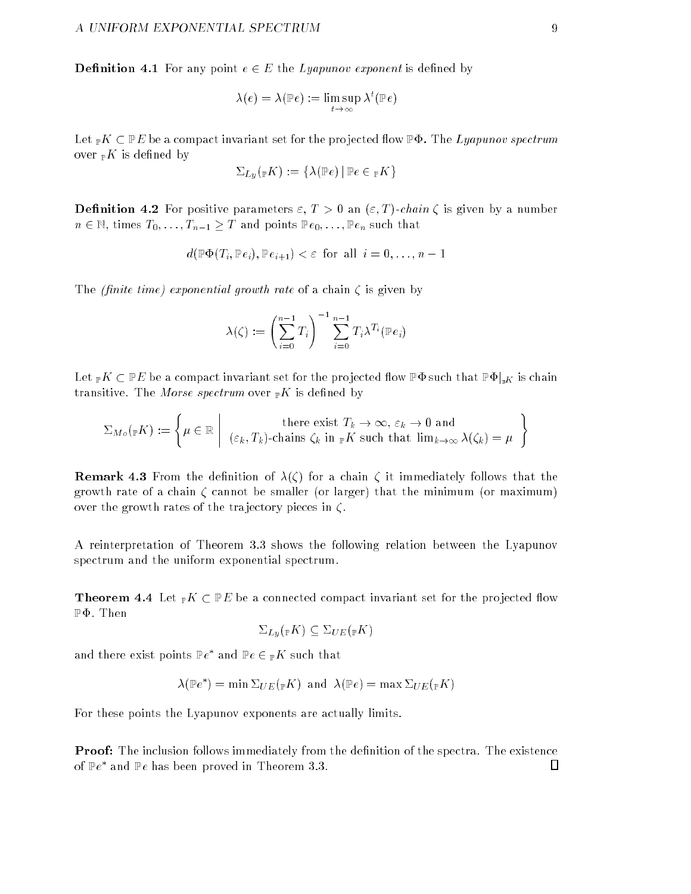**Definition 4.1** For any point  $e \in E$  the *Lyapunov exponent* is defined by

$$
\lambda(e) = \lambda(\mathbb{P}e) := \limsup_{t \to \infty} \lambda^t(\mathbb{P}e)
$$

Let  ${}_{\mathbb{P}}K \subset \mathbb{P}E$  be a compact invariant set for the projected flow  $\mathbb{P}\Phi$ . The Lyapunov spectrum over  $\mathbb{P}K$  is defined by

$$
\Sigma_{\,Ly}({}_\mathbb{P} K):=\{\lambda(\mathbb{P} e)\,|\,\mathbb{P} e\in {}_\mathbb{P} K\}
$$

**Definition 4.2** For positive parameters  $\varepsilon$ ,  $T > 0$  an  $(\varepsilon, T)$ -chain  $\zeta$  is given by a number  $n \in \mathbb{N}$ , times  $T_0, \ldots, T_{n-1} \geq T$  and points  $\mathbb{P}e_0, \ldots, \mathbb{P}e_n$  such that

$$
d(\mathbb{P}\Phi(T_i, \mathbb{P}e_i), \mathbb{P}e_{i+1}) < \varepsilon
$$
 for all  $i = 0, ..., n-1$ 

The *(finite time)* exponential growth rate of a chain  $\zeta$  is given by

$$
\lambda(\zeta) := \left(\sum_{i=0}^{n-1} T_i\right)^{-1} \sum_{i=0}^{n-1} T_i \lambda^{T_i}(\mathbb{P}e_i)
$$

Let  $_{\mathbb{P}}K \subset \mathbb{P}E$  be a compact invariant set for the projected flow  $\mathbb{P}\Phi$  such that  $\mathbb{P}\Phi|_{\mathbb{P}K}$  is chain transitive. The Morse spectrum over  $\mathbb{P}K$  is defined by

$$
\Sigma_{M_o(\mathbb{P}K)} := \left\{ \mu \in \mathbb{R} \mid \text{there exist } T_k \to \infty, \varepsilon_k \to 0 \text{ and } \atop (\varepsilon_k, T_k)\text{-chains } \zeta_k \text{ in } _{\mathbb{P}K} \text{ such that } \lim_{k \to \infty} \lambda(\zeta_k) = \mu \right\}
$$

**Remark 4.3** From the definition of  $\lambda(\zeta)$  for a chain  $\zeta$  it immediately follows that the growth rate of a chain  $\zeta$  cannot be smaller (or larger) that the minimum (or maximum) over the growth rates of the trajectory pieces in  $\zeta$ .

A reinterpretation of Theorem 3.3 shows the following relation between the Lyapunov spectrum and the uniform exponential spectrum.

**Theorem 4.4** Let  $_{\mathbb{P}}K \subset \mathbb{P}E$  be a connected compact invariant set for the projected flow  $\mathbb{P}\Phi$ . Then

$$
\Sigma_{Ly}({}_{\mathbb{P}}K) \subseteq \Sigma_{UE}({}_{\mathbb{P}}K)
$$

and there exist points  $\mathbb{P}e^*$  and  $\mathbb{P}e \in {}_{\mathbb{P}} K$  such that

$$
\lambda(\mathbb{P}e^*) = \min \Sigma_{UE}(\mathbb{P}K) \text{ and } \lambda(\mathbb{P}e) = \max \Sigma_{UE}(\mathbb{P}K)
$$

For these points the Lyapunov exponents are actually limits.

**Proof:** The inclusion follows immediately from the definition of the spectra. The existence  $\Box$ of Pe and Pe has been proved in Theorem 3.3.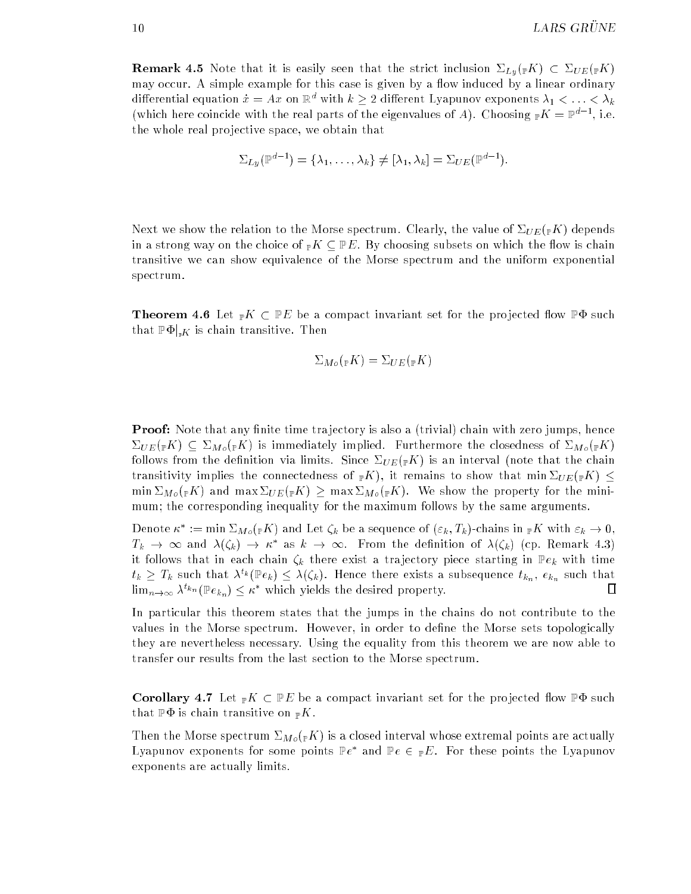**Remark 4.5** Note that it is easily seen that the strict inclusion  $\Sigma_{Lv}(\mathbb{P}K) \subset \Sigma_{UE}(\mathbb{P}K)$ may occur. A simple example for this case is given by a flow induced by a linear ordinary differential equation  $\dot{x} = Ax$  on  $\mathbb{R}^d$  with  $k \geq 2$  different Lyapunov exponents  $\lambda_1 < \ldots < \lambda_k$ (which here coincide with the real parts of the eigenvalues of A). Choosing  $_{\mathbb{P}}K = \mathbb{P}^{d-1}$ , i.e. the whole real pro jective space, we obtain that

$$
\Sigma_{Ly}(\mathbb{P}^{d-1}) = \{\lambda_1, \ldots, \lambda_k\} \neq [\lambda_1, \lambda_k] = \Sigma_{UE}(\mathbb{P}^{d-1}).
$$

Next we show the relation to the Morse spectrum. Clearly, the value of  $\Sigma_{UE}({}_\mathbb{P} K)$  depends in a strong way on the choice of  ${}_{\mathbb{P}}K \subset \mathbb{P}E$ . By choosing subsets on which the flow is chain transitive we can show equivalence of the Morse spectrum and the uniform exponential spectrum.

**Theorem 4.6** Let  $_{\mathbb{P}}K \subset \mathbb{P}E$  be a compact invariant set for the projected flow  $\mathbb{P}\Phi$  such that  $\mathbb{P}\Phi|_{nK}$  is chain transitive. Then

$$
\Sigma_{M\circ}({}_{\mathbb{P}}K)=\Sigma_{UE}({}_{\mathbb{P}}K)
$$

**Proof:** Note that any finite time trajectory is also a (trivial) chain with zero jumps, hence  $\Sigma_{UE}(\mathbb{F}K) \subseteq \Sigma_{Mo}(\mathbb{F}K)$  is immediately implied. Furthermore the closedness of  $\Sigma_{Mo}(\mathbb{F}K)$ follows from the definition via limits. Since  $\Sigma_{UE}(\mathbb{R}^K)$  is an interval (note that the chain transitivity implies the connectedness of  $_{\mathbb{P}}K$ ), it remains to show that min  $\Sigma_{UE}({}_{\mathbb{P}}K) \leq$ min  $\Sigma_{M_o}({}_pK)$  and max  $\Sigma_{UE}({}_pK)$  > max  $\Sigma_{M_o}({}_pK)$ . We show the property for the minimum; the corresponding inequality for the maximum follows by the same arguments.

Denote  $\kappa^* := \min \Sigma_{M_o}({}_{\mathbb{P}} K)$  and Let  $\zeta_k$  be a sequence of  $(\varepsilon_k, T_k)$ -chains in  ${}_{\mathbb{P}} K$  with  $\varepsilon_k \to 0$ ,  $T_k \to \infty$  and  $\lambda(\zeta_k) \to \kappa^*$  as  $k \to \infty$ . From the definition of  $\lambda(\zeta_k)$  (cp. Remark 4.3) it follows that in each chain  $\zeta_k$  there exist a trajectory piece starting in  $\mathbb{P}e_k$  with time  $t_k \geq T_k$  such that  $\lambda^{t_k}(\mathbb{P} e_k) \leq \lambda(\zeta_k)$ . Hence there exists a subsequence  $t_{k_n},\ e_{k_n}$  such that ▯  $\lim_{n\to\infty}\lambda^{t_{k_n}}(\mathbb{P} e_{k_n})\leq \kappa^*$  which yields the desired property.

In particular this theorem states that the jumps in the chains do not contribute to the values in the Morse spectrum. However, in order to define the Morse sets topologically they are nevertheless necessary. Using the equality from this theorem we are now able to transfer our results from the last section to the Morse spectrum.

**Corollary 4.7** Let  $\mathbb{P}K \subset \mathbb{P}E$  be a compact invariant set for the projected flow  $\mathbb{P}\Phi$  such that  $\mathbb{P}\Phi$  is chain transitive on  $\mathbb{P}K$ .

Then the Morse spectrum  $\Sigma_{M_o}({}_pK)$  is a closed interval whose extremal points are actually Lyapunov exponents for some points  $\mathbb{P}e^*$  and  $\mathbb{P}e \in {}_{\mathbb{P}}E$ . For these points the Lyapunov exponents are actually limits.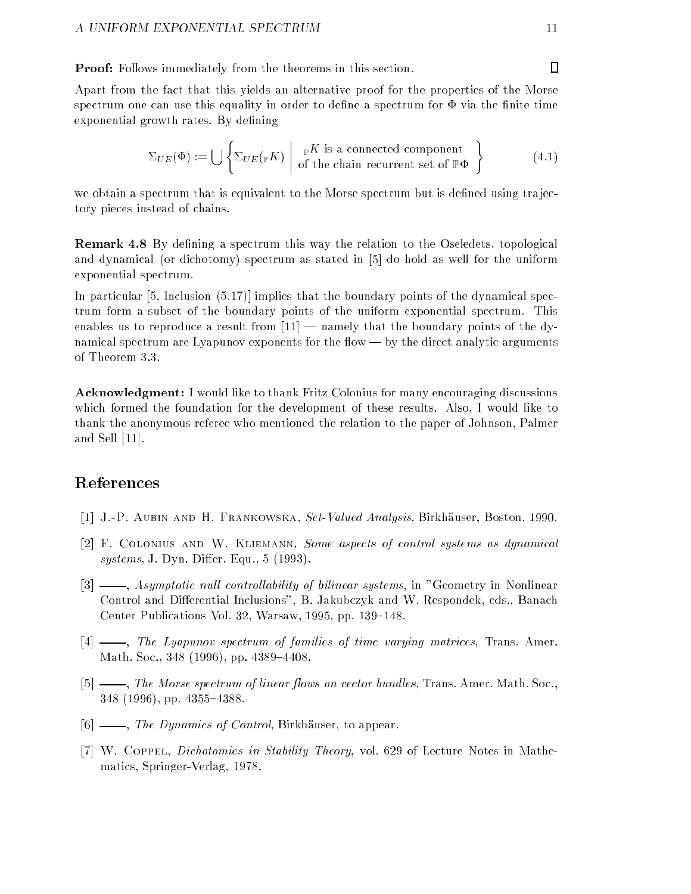Proof: Follows immediately from the theorems in this section.

Apart from the fact that this yields an alternative proof for the properties of the Morse spectrum one can use this equality in order to define a spectrum for  $\Phi$  via the finite time exponential growth rates. By defining

$$
\Sigma_{UE}(\Phi) := \bigcup \left\{ \Sigma_{UE}(\mathbb{P}K) \mid \begin{array}{c} \mathbb{P}K \text{ is a connected component} \\ \text{of the chain recurrent set of } \mathbb{P}\Phi \end{array} \right\}
$$
(4.1)

we obtain a spectrum that is equivalent to the Morse spectrum but is defined using trajectory pieces instead of chains.

**Remark 4.8** By defining a spectrum this way the relation to the Oseledets, topological and dynamical (or dichotomy) spectrum as stated in [5] do hold as well for the uniform exponential spectrum.

In particular [5, Inclusion (5.17)] implies that the boundary points of the dynamical spectrum form a subset of the boundary points of the uniform exponential spectrum. This enables us to reproduce a result from  $[11]$  - namely that the boundary points of the dynamical spectrum are Lyapunov exponents for the flow — by the direct analytic arguments of Theorem 3.3.

Acknowledgment: I would like to thank Fritz Colonius for many encouraging discussions which formed the foundation for the development of these results. Also, I would like to thank the anonymous referee who mentioned the relation to the paper of Johnson, Palmer and Sell [11].

# References

- [1] J.-P. Aubin and H. Frankowska, Set-Valued Analysis, Birkhauser, Boston, 1990.
- [2] F. Colonius and W. Kliemann, Some aspects of control systems as dynamical  $systems, J. Dyn. Differ. Equ., 5 (1993).$
- [3]  $\_\_\_\_\$  Asymptotic null controllability of bilinear systems, in "Geometry in Nonlinear Control and Differential Inclusions", B. Jakubczyk and W. Respondek, eds., Banach Center Publications Vol. 32, Warsaw, 1995, pp. 139-148.
- [4]  $\frac{1}{2}$ , The Lyapunov spectrum of families of time varying matrices, Trans. Amer. Math. Soc., 348 (1996), pp. 4389-4408.
- [5]  $\frac{1}{10}$ , The Morse spectrum of linear flows on vector bundles, Trans. Amer. Math. Soc.,  $348$  (1996), pp.  $4355-4388$ .
- $[6]$  —, The Dynamics of Control, Birkhäuser, to appear.
- [7] W. Coppel, Dichotomies in Stability Theory, vol. 629 of Lecture Notes in Mathematics, Springer-Verlag, 1978.

 $\Box$